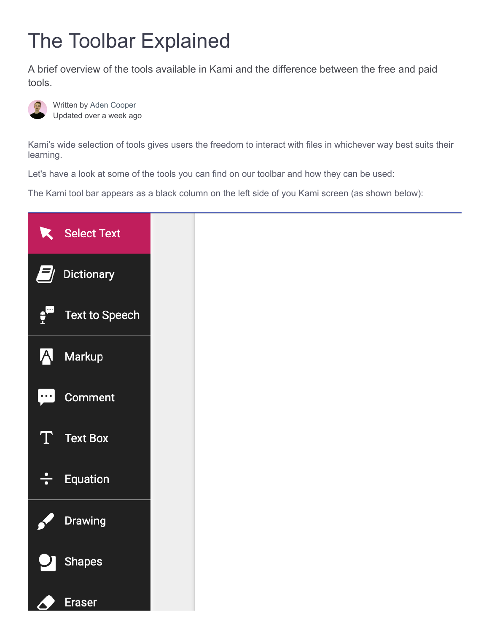# The Toolbar Explained

A brief overview of the tools available in Kami and the difference between the free and paid tools.



Written by Aden Cooper Updated over a week ago

Kami's wide selection of tools gives users the freedom to interact with files in whichever way best suits their learning.

Let's have a look at some of the tools you can find on our toolbar and how they can be used:

The Kami tool bar appears as a black column on the left side of you Kami screen (as shown below):

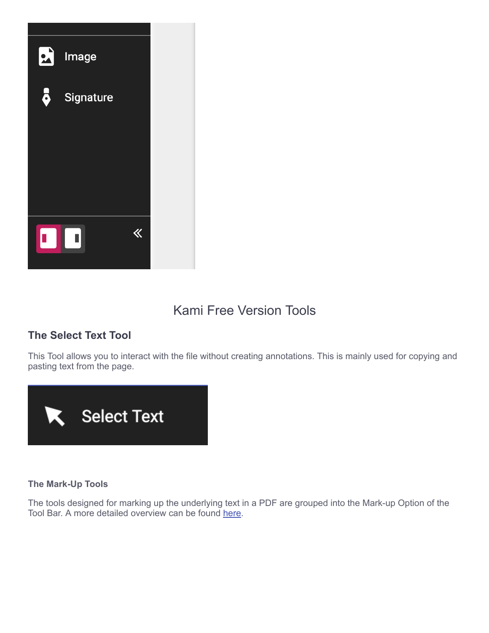

## Kami Free Version Tools

## **The Select Text Tool**

This Tool allows you to interact with the file without creating annotations. This is mainly used for copying and pasting text from the page.



## **The Mark-Up Tools**

The tools designed for marking up the underlying text in a PDF are grouped into the Mark-up Option of the Tool Bar. A more detailed overview can be found [here](https://help.kamiapp.com/en/articles/2945166-the-mark-up-tools).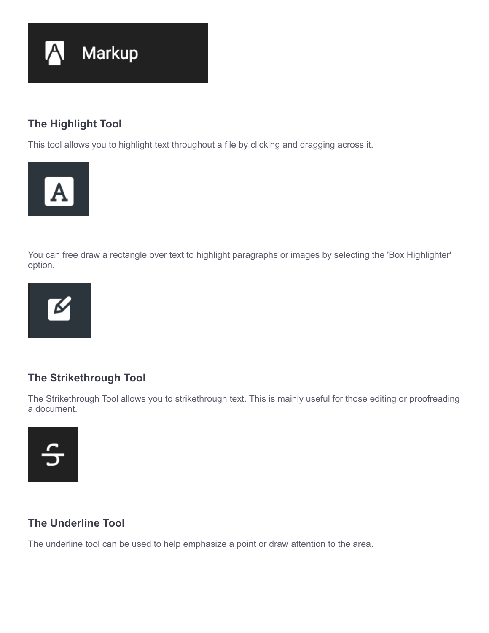

## **The Highlight Tool**

This tool allows you to highlight text throughout a file by clicking and dragging across it.



You can free draw a rectangle over text to highlight paragraphs or images by selecting the 'Box Highlighter' option.



## **The Strikethrough Tool**

The Strikethrough Tool allows you to strikethrough text. This is mainly useful for those editing or proofreading a document.



## **The Underline Tool**

The underline tool can be used to help emphasize a point or draw attention to the area.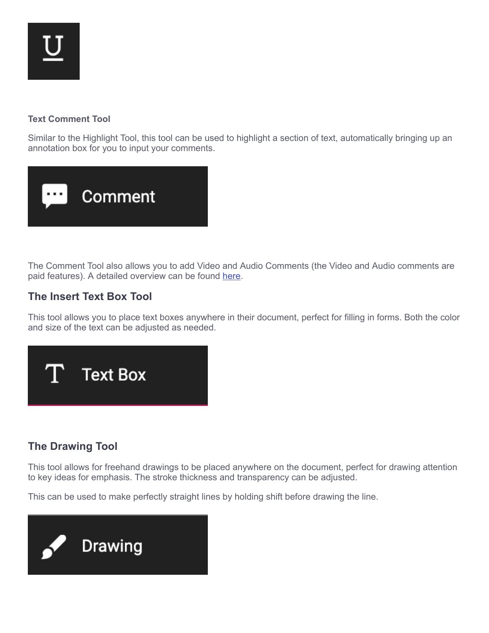## **Text Comment Tool**

Similar to the Highlight Tool, this tool can be used to highlight a section of text, automatically bringing up an annotation box for you to input your comments.



The Comment Tool also allows you to add Video and Audio Comments (the Video and Audio comments are paid features). A detailed overview can be found [here](https://help.kamiapp.com/en/articles/2945241-the-comment-tools).

## **The Insert Text Box Tool**

This tool allows you to place text boxes anywhere in their document, perfect for filling in forms. Both the color and size of the text can be adjusted as needed.



## **The Drawing Tool**

This tool allows for freehand drawings to be placed anywhere on the document, perfect for drawing attention to key ideas for emphasis. The stroke thickness and transparency can be adjusted.

This can be used to make perfectly straight lines by holding shift before drawing the line.

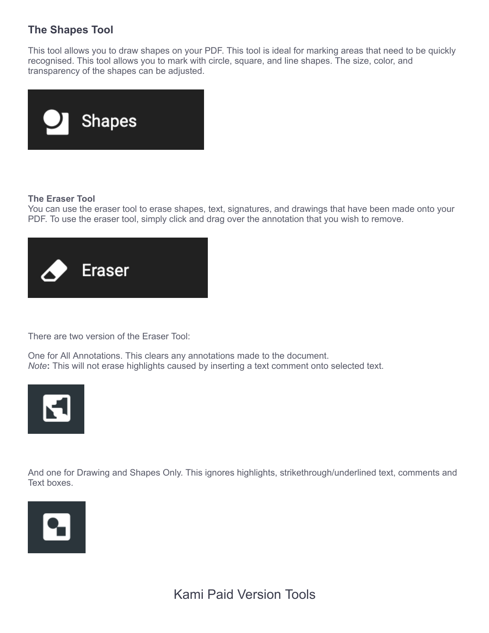## **The Shapes Tool**

This tool allows you to draw shapes on your PDF. This tool is ideal for marking areas that need to be quickly recognised. This tool allows you to mark with circle, square, and line shapes. The size, color, and transparency of the shapes can be adjusted.



### **The Eraser Tool**

You can use the eraser tool to erase shapes, text, signatures, and drawings that have been made onto your PDF. To use the eraser tool, simply click and drag over the annotation that you wish to remove.



There are two version of the Eraser Tool:

One for All Annotations. This clears any annotations made to the document. *Note***:** This will not erase highlights caused by inserting a text comment onto selected text.



And one for Drawing and Shapes Only. This ignores highlights, strikethrough/underlined text, comments and Text boxes.

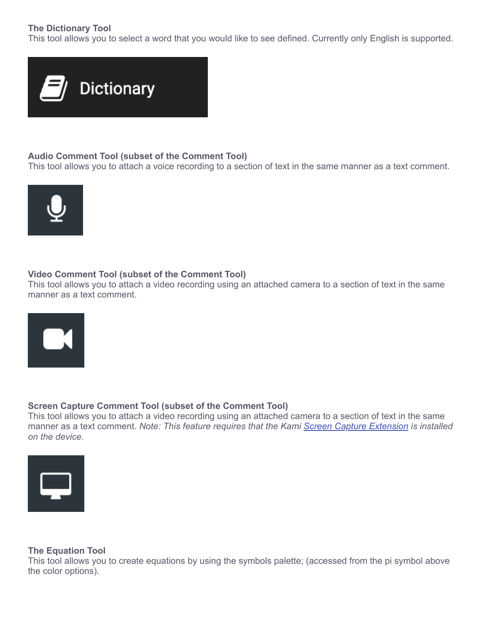## **The Dictionary Tool**

This tool allows you to select a word that you would like to see defined. Currently only English is supported.



### **Audio Comment Tool (subset of the Comment Tool)**

This tool allows you to attach a voice recording to a section of text in the same manner as a text comment.



### **Video Comment Tool (subset of the Comment Tool)**

This tool allows you to attach a video recording using an attached camera to a section of text in the same manner as a text comment.



### **Screen Capture Comment Tool (subset of the Comment Tool)**

This tool allows you to attach a video recording using an attached camera to a section of text in the same manner as a text comment. *Note: This feature requires that the Kami [Screen Capture Extension](https://chrome.google.com/webstore/detail/screen-capture-by-kami/jkahddofhbcgdndobkkhbhggjjmcoiel?hl=en) is installed on the device.*



### **The Equation Tool**

This tool allows you to create equations by using the symbols palette; (accessed from the pi symbol above the color options).